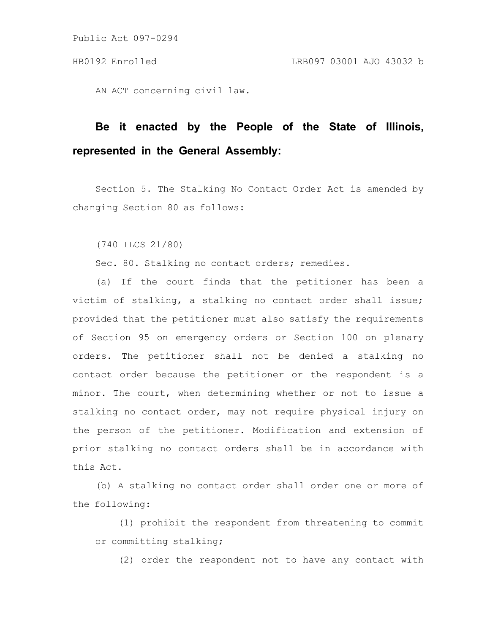AN ACT concerning civil law.

# **Be it enacted by the People of the State of Illinois, represented in the General Assembly:**

Section 5. The Stalking No Contact Order Act is amended by changing Section 80 as follows:

(740 ILCS 21/80)

Sec. 80. Stalking no contact orders; remedies.

(a) If the court finds that the petitioner has been a victim of stalking, a stalking no contact order shall issue; provided that the petitioner must also satisfy the requirements of Section 95 on emergency orders or Section 100 on plenary orders. The petitioner shall not be denied a stalking no contact order because the petitioner or the respondent is a minor. The court, when determining whether or not to issue a stalking no contact order, may not require physical injury on the person of the petitioner. Modification and extension of prior stalking no contact orders shall be in accordance with this Act.

(b) A stalking no contact order shall order one or more of the following:

(1) prohibit the respondent from threatening to commit or committing stalking;

(2) order the respondent not to have any contact with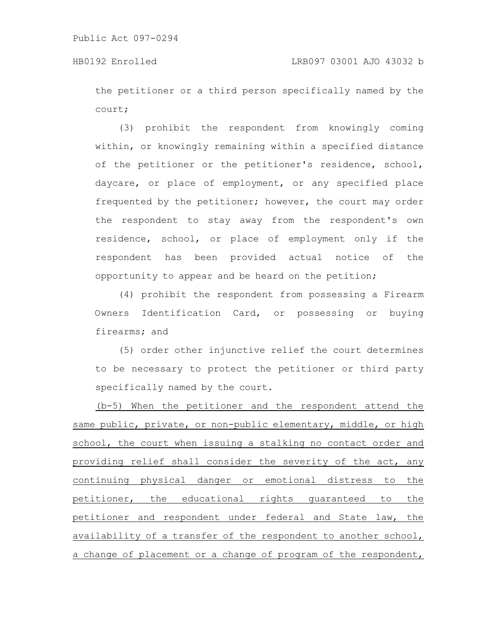the petitioner or a third person specifically named by the court;

(3) prohibit the respondent from knowingly coming within, or knowingly remaining within a specified distance of the petitioner or the petitioner's residence, school, daycare, or place of employment, or any specified place frequented by the petitioner; however, the court may order the respondent to stay away from the respondent's own residence, school, or place of employment only if the respondent has been provided actual notice of the opportunity to appear and be heard on the petition;

(4) prohibit the respondent from possessing a Firearm Owners Identification Card, or possessing or buying firearms; and

(5) order other injunctive relief the court determines to be necessary to protect the petitioner or third party specifically named by the court.

(b-5) When the petitioner and the respondent attend the same public, private, or non-public elementary, middle, or high school, the court when issuing a stalking no contact order and providing relief shall consider the severity of the act, any continuing physical danger or emotional distress to the petitioner, the educational rights guaranteed to the petitioner and respondent under federal and State law, the availability of a transfer of the respondent to another school, a change of placement or a change of program of the respondent,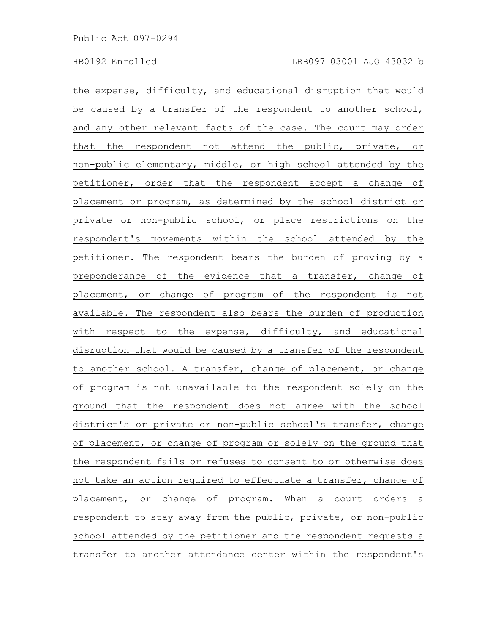the expense, difficulty, and educational disruption that would be caused by a transfer of the respondent to another school, and any other relevant facts of the case. The court may order that the respondent not attend the public, private, or non-public elementary, middle, or high school attended by the petitioner, order that the respondent accept a change of placement or program, as determined by the school district or private or non-public school, or place restrictions on the respondent's movements within the school attended by the petitioner. The respondent bears the burden of proving by a preponderance of the evidence that a transfer, change of placement, or change of program of the respondent is not available. The respondent also bears the burden of production with respect to the expense, difficulty, and educational disruption that would be caused by a transfer of the respondent to another school. A transfer, change of placement, or change of program is not unavailable to the respondent solely on the ground that the respondent does not agree with the school district's or private or non-public school's transfer, change of placement, or change of program or solely on the ground that the respondent fails or refuses to consent to or otherwise does not take an action required to effectuate a transfer, change of placement, or change of program. When a court orders a respondent to stay away from the public, private, or non-public school attended by the petitioner and the respondent requests a transfer to another attendance center within the respondent's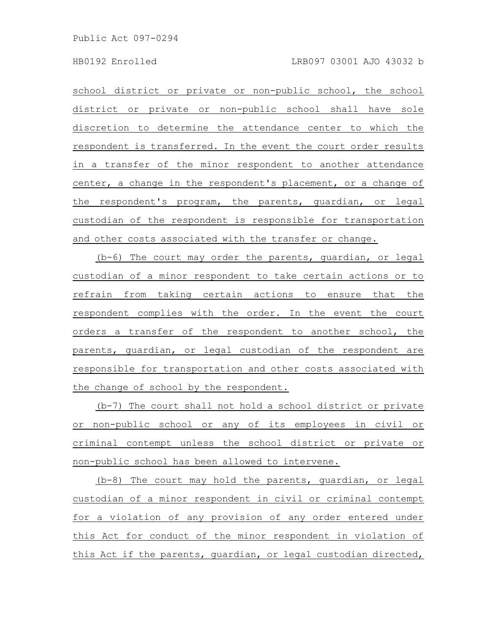school district or private or non-public school, the school district or private or non-public school shall have sole discretion to determine the attendance center to which the respondent is transferred. In the event the court order results in a transfer of the minor respondent to another attendance center, a change in the respondent's placement, or a change of the respondent's program, the parents, guardian, or legal custodian of the respondent is responsible for transportation and other costs associated with the transfer or change.

(b-6) The court may order the parents, guardian, or legal custodian of a minor respondent to take certain actions or to refrain from taking certain actions to ensure that the respondent complies with the order. In the event the court orders a transfer of the respondent to another school, the parents, guardian, or legal custodian of the respondent are responsible for transportation and other costs associated with the change of school by the respondent.

(b-7) The court shall not hold a school district or private or non-public school or any of its employees in civil or criminal contempt unless the school district or private or non-public school has been allowed to intervene.

(b-8) The court may hold the parents, guardian, or legal custodian of a minor respondent in civil or criminal contempt for a violation of any provision of any order entered under this Act for conduct of the minor respondent in violation of this Act if the parents, guardian, or legal custodian directed,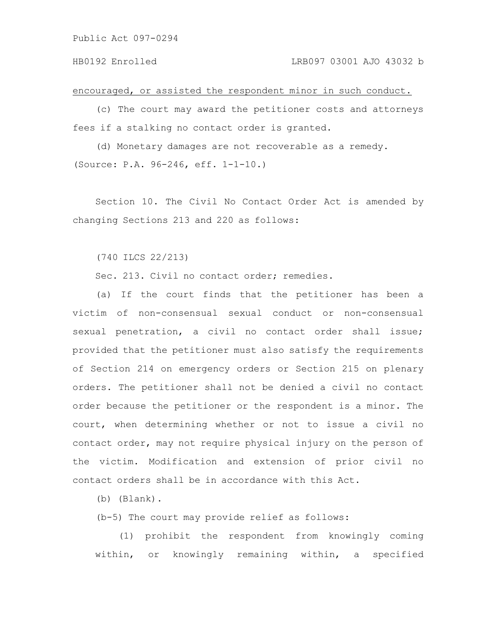encouraged, or assisted the respondent minor in such conduct.

(c) The court may award the petitioner costs and attorneys fees if a stalking no contact order is granted.

(d) Monetary damages are not recoverable as a remedy. (Source: P.A. 96-246, eff. 1-1-10.)

Section 10. The Civil No Contact Order Act is amended by changing Sections 213 and 220 as follows:

(740 ILCS 22/213)

Sec. 213. Civil no contact order; remedies.

(a) If the court finds that the petitioner has been a victim of non-consensual sexual conduct or non-consensual sexual penetration, a civil no contact order shall issue; provided that the petitioner must also satisfy the requirements of Section 214 on emergency orders or Section 215 on plenary orders. The petitioner shall not be denied a civil no contact order because the petitioner or the respondent is a minor. The court, when determining whether or not to issue a civil no contact order, may not require physical injury on the person of the victim. Modification and extension of prior civil no contact orders shall be in accordance with this Act.

(b) (Blank).

(b-5) The court may provide relief as follows:

(1) prohibit the respondent from knowingly coming within, or knowingly remaining within, a specified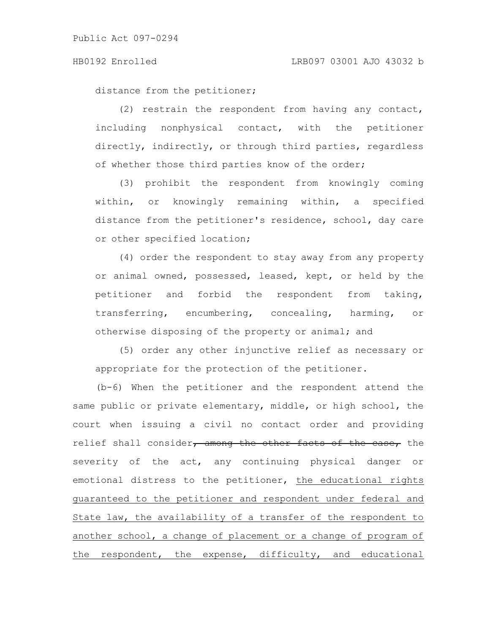distance from the petitioner;

(2) restrain the respondent from having any contact, including nonphysical contact, with the petitioner directly, indirectly, or through third parties, regardless of whether those third parties know of the order;

(3) prohibit the respondent from knowingly coming within, or knowingly remaining within, a specified distance from the petitioner's residence, school, day care or other specified location;

(4) order the respondent to stay away from any property or animal owned, possessed, leased, kept, or held by the petitioner and forbid the respondent from taking, transferring, encumbering, concealing, harming, or otherwise disposing of the property or animal; and

(5) order any other injunctive relief as necessary or appropriate for the protection of the petitioner.

(b-6) When the petitioner and the respondent attend the same public or private elementary, middle, or high school, the court when issuing a civil no contact order and providing relief shall consider, among the other facts of the case, the severity of the act, any continuing physical danger or emotional distress to the petitioner, the educational rights guaranteed to the petitioner and respondent under federal and State law, the availability of a transfer of the respondent to another school, a change of placement or a change of program of the respondent, the expense, difficulty, and educational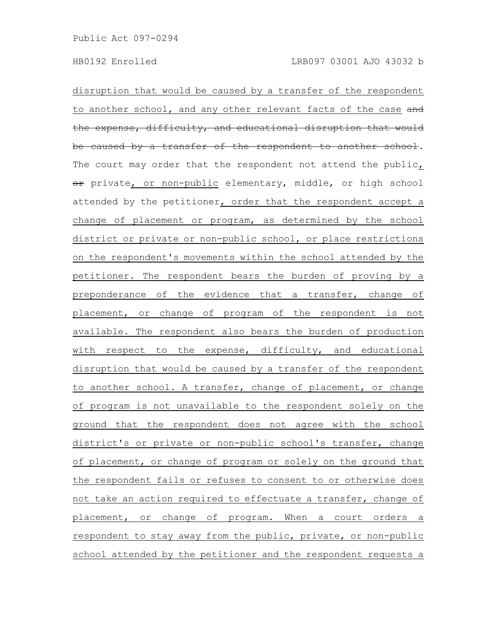disruption that would be caused by a transfer of the respondent to another school, and any other relevant facts of the case and the expense, difficulty, and educational disruption that would be caused by a transfer of the respondent to another school. The court may order that the respondent not attend the public, or private, or non-public elementary, middle, or high school attended by the petitioner, order that the respondent accept a change of placement or program, as determined by the school district or private or non-public school, or place restrictions on the respondent's movements within the school attended by the petitioner. The respondent bears the burden of proving by a preponderance of the evidence that a transfer, change of placement, or change of program of the respondent is not available. The respondent also bears the burden of production with respect to the expense, difficulty, and educational disruption that would be caused by a transfer of the respondent to another school. A transfer, change of placement, or change of program is not unavailable to the respondent solely on the ground that the respondent does not agree with the school district's or private or non-public school's transfer, change of placement, or change of program or solely on the ground that the respondent fails or refuses to consent to or otherwise does not take an action required to effectuate a transfer, change of placement, or change of program. When a court orders a respondent to stay away from the public, private, or non-public school attended by the petitioner and the respondent requests a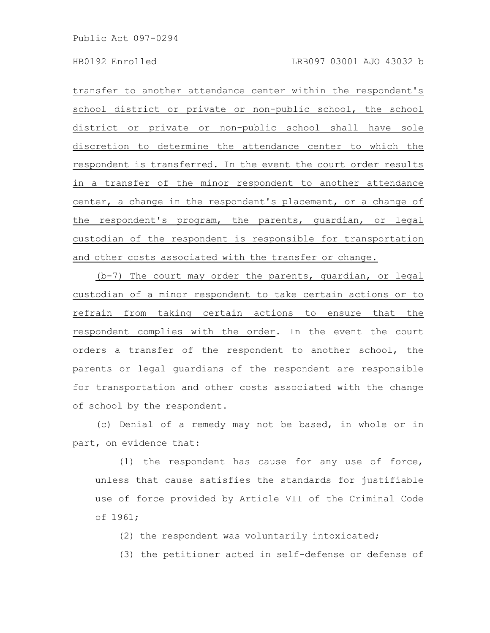transfer to another attendance center within the respondent's school district or private or non-public school, the school district or private or non-public school shall have sole discretion to determine the attendance center to which the respondent is transferred. In the event the court order results in a transfer of the minor respondent to another attendance center, a change in the respondent's placement, or a change of the respondent's program, the parents, guardian, or legal custodian of the respondent is responsible for transportation and other costs associated with the transfer or change.

(b-7) The court may order the parents, guardian, or legal custodian of a minor respondent to take certain actions or to refrain from taking certain actions to ensure that the respondent complies with the order. In the event the court orders a transfer of the respondent to another school, the parents or legal guardians of the respondent are responsible for transportation and other costs associated with the change of school by the respondent.

(c) Denial of a remedy may not be based, in whole or in part, on evidence that:

(1) the respondent has cause for any use of force, unless that cause satisfies the standards for justifiable use of force provided by Article VII of the Criminal Code of 1961;

(2) the respondent was voluntarily intoxicated;

(3) the petitioner acted in self-defense or defense of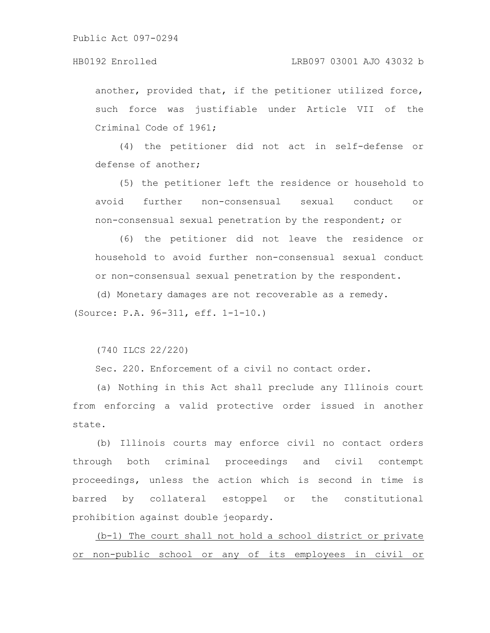### HB0192 Enrolled LRB097 03001 AJO 43032 b

another, provided that, if the petitioner utilized force, such force was justifiable under Article VII of the Criminal Code of 1961;

(4) the petitioner did not act in self-defense or defense of another;

(5) the petitioner left the residence or household to avoid further non-consensual sexual conduct or non-consensual sexual penetration by the respondent; or

(6) the petitioner did not leave the residence or household to avoid further non-consensual sexual conduct or non-consensual sexual penetration by the respondent.

(d) Monetary damages are not recoverable as a remedy. (Source: P.A. 96-311, eff. 1-1-10.)

(740 ILCS 22/220)

Sec. 220. Enforcement of a civil no contact order.

(a) Nothing in this Act shall preclude any Illinois court from enforcing a valid protective order issued in another state.

(b) Illinois courts may enforce civil no contact orders through both criminal proceedings and civil contempt proceedings, unless the action which is second in time is barred by collateral estoppel or the constitutional prohibition against double jeopardy.

(b-1) The court shall not hold a school district or private or non-public school or any of its employees in civil or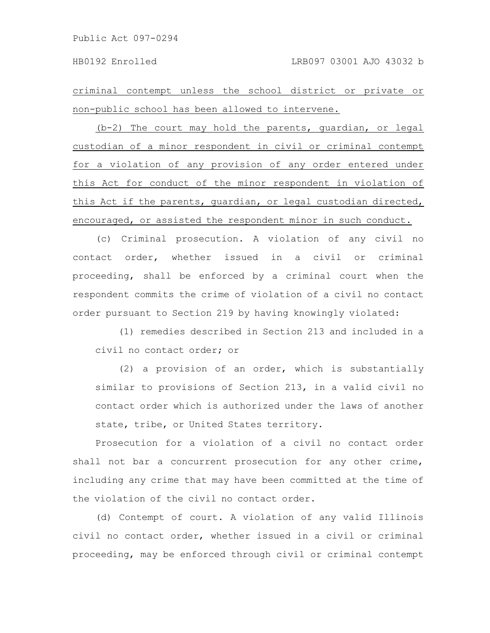criminal contempt unless the school district or private or non-public school has been allowed to intervene.

(b-2) The court may hold the parents, guardian, or legal custodian of a minor respondent in civil or criminal contempt for a violation of any provision of any order entered under this Act for conduct of the minor respondent in violation of this Act if the parents, guardian, or legal custodian directed, encouraged, or assisted the respondent minor in such conduct.

(c) Criminal prosecution. A violation of any civil no contact order, whether issued in a civil or criminal proceeding, shall be enforced by a criminal court when the respondent commits the crime of violation of a civil no contact order pursuant to Section 219 by having knowingly violated:

(1) remedies described in Section 213 and included in a civil no contact order; or

(2) a provision of an order, which is substantially similar to provisions of Section 213, in a valid civil no contact order which is authorized under the laws of another state, tribe, or United States territory.

Prosecution for a violation of a civil no contact order shall not bar a concurrent prosecution for any other crime, including any crime that may have been committed at the time of the violation of the civil no contact order.

(d) Contempt of court. A violation of any valid Illinois civil no contact order, whether issued in a civil or criminal proceeding, may be enforced through civil or criminal contempt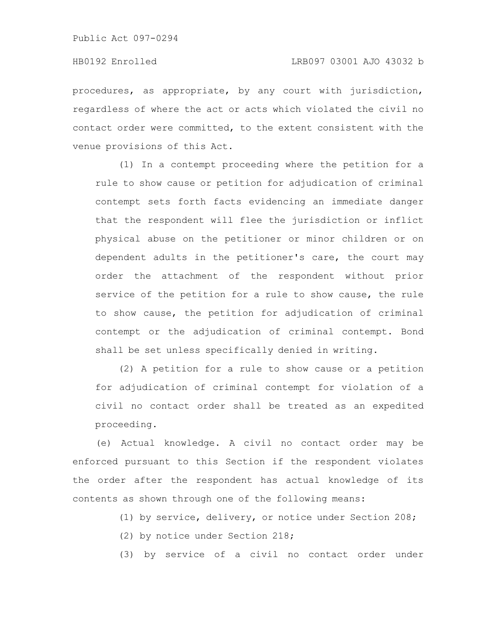procedures, as appropriate, by any court with jurisdiction, regardless of where the act or acts which violated the civil no contact order were committed, to the extent consistent with the venue provisions of this Act.

(1) In a contempt proceeding where the petition for a rule to show cause or petition for adjudication of criminal contempt sets forth facts evidencing an immediate danger that the respondent will flee the jurisdiction or inflict physical abuse on the petitioner or minor children or on dependent adults in the petitioner's care, the court may order the attachment of the respondent without prior service of the petition for a rule to show cause, the rule to show cause, the petition for adjudication of criminal contempt or the adjudication of criminal contempt. Bond shall be set unless specifically denied in writing.

(2) A petition for a rule to show cause or a petition for adjudication of criminal contempt for violation of a civil no contact order shall be treated as an expedited proceeding.

(e) Actual knowledge. A civil no contact order may be enforced pursuant to this Section if the respondent violates the order after the respondent has actual knowledge of its contents as shown through one of the following means:

(1) by service, delivery, or notice under Section 208;

(2) by notice under Section 218;

(3) by service of a civil no contact order under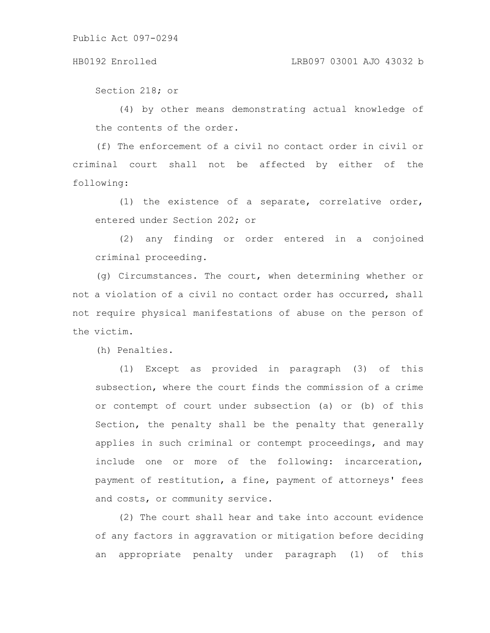### HB0192 Enrolled LRB097 03001 AJO 43032 b

Section 218; or

(4) by other means demonstrating actual knowledge of the contents of the order.

(f) The enforcement of a civil no contact order in civil or criminal court shall not be affected by either of the following:

(1) the existence of a separate, correlative order, entered under Section 202; or

(2) any finding or order entered in a conjoined criminal proceeding.

(g) Circumstances. The court, when determining whether or not a violation of a civil no contact order has occurred, shall not require physical manifestations of abuse on the person of the victim.

(h) Penalties.

(1) Except as provided in paragraph (3) of this subsection, where the court finds the commission of a crime or contempt of court under subsection (a) or (b) of this Section, the penalty shall be the penalty that generally applies in such criminal or contempt proceedings, and may include one or more of the following: incarceration, payment of restitution, a fine, payment of attorneys' fees and costs, or community service.

(2) The court shall hear and take into account evidence of any factors in aggravation or mitigation before deciding an appropriate penalty under paragraph (1) of this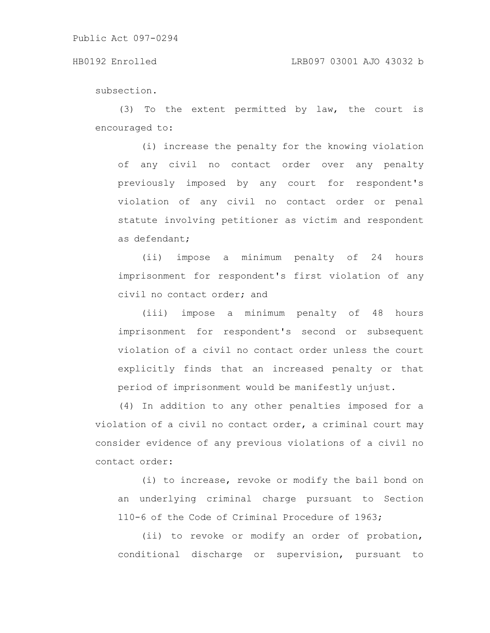### HB0192 Enrolled LRB097 03001 AJO 43032 b

subsection.

(3) To the extent permitted by law, the court is encouraged to:

(i) increase the penalty for the knowing violation of any civil no contact order over any penalty previously imposed by any court for respondent's violation of any civil no contact order or penal statute involving petitioner as victim and respondent as defendant;

(ii) impose a minimum penalty of 24 hours imprisonment for respondent's first violation of any civil no contact order; and

(iii) impose a minimum penalty of 48 hours imprisonment for respondent's second or subsequent violation of a civil no contact order unless the court explicitly finds that an increased penalty or that period of imprisonment would be manifestly unjust.

(4) In addition to any other penalties imposed for a violation of a civil no contact order, a criminal court may consider evidence of any previous violations of a civil no contact order:

(i) to increase, revoke or modify the bail bond on an underlying criminal charge pursuant to Section 110-6 of the Code of Criminal Procedure of 1963;

(ii) to revoke or modify an order of probation, conditional discharge or supervision, pursuant to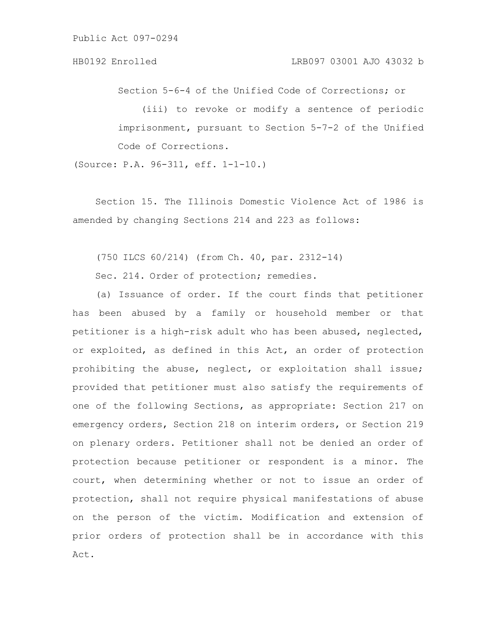Section 5-6-4 of the Unified Code of Corrections; or

(iii) to revoke or modify a sentence of periodic imprisonment, pursuant to Section 5-7-2 of the Unified Code of Corrections.

(Source: P.A. 96-311, eff. 1-1-10.)

Section 15. The Illinois Domestic Violence Act of 1986 is amended by changing Sections 214 and 223 as follows:

(750 ILCS 60/214) (from Ch. 40, par. 2312-14)

Sec. 214. Order of protection; remedies.

(a) Issuance of order. If the court finds that petitioner has been abused by a family or household member or that petitioner is a high-risk adult who has been abused, neglected, or exploited, as defined in this Act, an order of protection prohibiting the abuse, neglect, or exploitation shall issue; provided that petitioner must also satisfy the requirements of one of the following Sections, as appropriate: Section 217 on emergency orders, Section 218 on interim orders, or Section 219 on plenary orders. Petitioner shall not be denied an order of protection because petitioner or respondent is a minor. The court, when determining whether or not to issue an order of protection, shall not require physical manifestations of abuse on the person of the victim. Modification and extension of prior orders of protection shall be in accordance with this Act.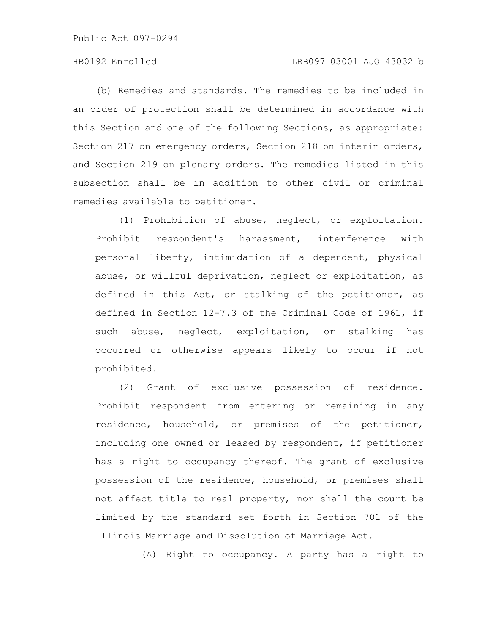# HB0192 Enrolled LRB097 03001 AJO 43032 b

(b) Remedies and standards. The remedies to be included in an order of protection shall be determined in accordance with this Section and one of the following Sections, as appropriate: Section 217 on emergency orders, Section 218 on interim orders, and Section 219 on plenary orders. The remedies listed in this subsection shall be in addition to other civil or criminal remedies available to petitioner.

(1) Prohibition of abuse, neglect, or exploitation. Prohibit respondent's harassment, interference with personal liberty, intimidation of a dependent, physical abuse, or willful deprivation, neglect or exploitation, as defined in this Act, or stalking of the petitioner, as defined in Section 12-7.3 of the Criminal Code of 1961, if such abuse, neglect, exploitation, or stalking has occurred or otherwise appears likely to occur if not prohibited.

(2) Grant of exclusive possession of residence. Prohibit respondent from entering or remaining in any residence, household, or premises of the petitioner, including one owned or leased by respondent, if petitioner has a right to occupancy thereof. The grant of exclusive possession of the residence, household, or premises shall not affect title to real property, nor shall the court be limited by the standard set forth in Section 701 of the Illinois Marriage and Dissolution of Marriage Act.

(A) Right to occupancy. A party has a right to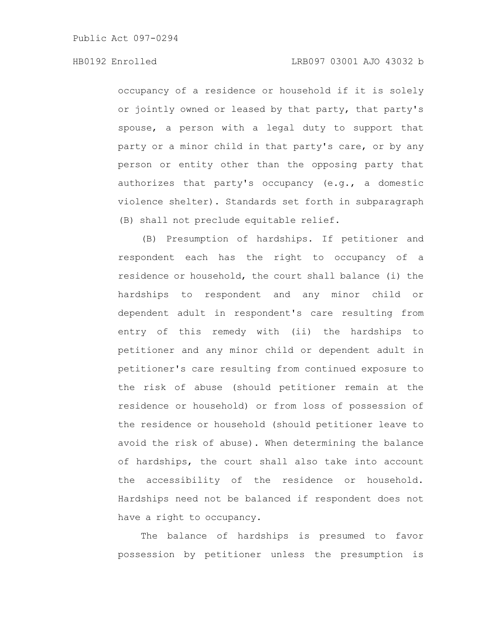# HB0192 Enrolled LRB097 03001 AJO 43032 b

occupancy of a residence or household if it is solely or jointly owned or leased by that party, that party's spouse, a person with a legal duty to support that party or a minor child in that party's care, or by any person or entity other than the opposing party that authorizes that party's occupancy (e.g., a domestic violence shelter). Standards set forth in subparagraph (B) shall not preclude equitable relief.

(B) Presumption of hardships. If petitioner and respondent each has the right to occupancy of a residence or household, the court shall balance (i) the hardships to respondent and any minor child or dependent adult in respondent's care resulting from entry of this remedy with (ii) the hardships to petitioner and any minor child or dependent adult in petitioner's care resulting from continued exposure to the risk of abuse (should petitioner remain at the residence or household) or from loss of possession of the residence or household (should petitioner leave to avoid the risk of abuse). When determining the balance of hardships, the court shall also take into account the accessibility of the residence or household. Hardships need not be balanced if respondent does not have a right to occupancy.

The balance of hardships is presumed to favor possession by petitioner unless the presumption is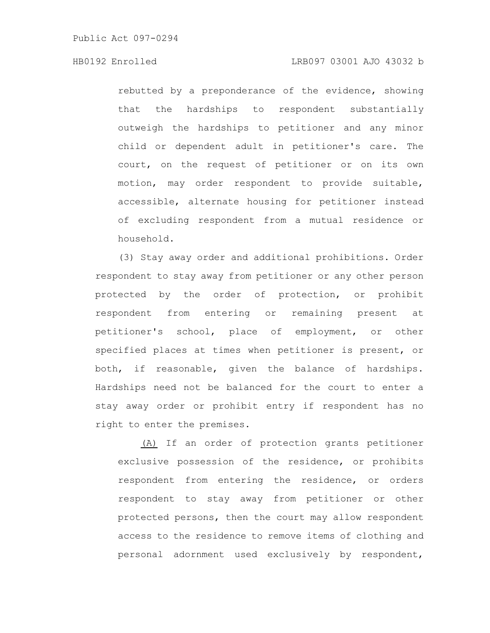# HB0192 Enrolled LRB097 03001 AJO 43032 b

rebutted by a preponderance of the evidence, showing that the hardships to respondent substantially outweigh the hardships to petitioner and any minor child or dependent adult in petitioner's care. The court, on the request of petitioner or on its own motion, may order respondent to provide suitable, accessible, alternate housing for petitioner instead of excluding respondent from a mutual residence or household.

(3) Stay away order and additional prohibitions. Order respondent to stay away from petitioner or any other person protected by the order of protection, or prohibit respondent from entering or remaining present at petitioner's school, place of employment, or other specified places at times when petitioner is present, or both, if reasonable, given the balance of hardships. Hardships need not be balanced for the court to enter a stay away order or prohibit entry if respondent has no right to enter the premises.

(A) If an order of protection grants petitioner exclusive possession of the residence, or prohibits respondent from entering the residence, or orders respondent to stay away from petitioner or other protected persons, then the court may allow respondent access to the residence to remove items of clothing and personal adornment used exclusively by respondent,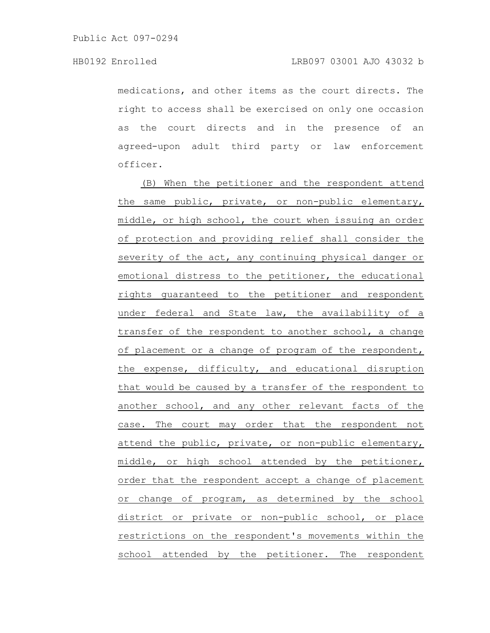medications, and other items as the court directs. The right to access shall be exercised on only one occasion as the court directs and in the presence of an agreed-upon adult third party or law enforcement officer.

(B) When the petitioner and the respondent attend the same public, private, or non-public elementary, middle, or high school, the court when issuing an order of protection and providing relief shall consider the severity of the act, any continuing physical danger or emotional distress to the petitioner, the educational rights guaranteed to the petitioner and respondent under federal and State law, the availability of a transfer of the respondent to another school, a change of placement or a change of program of the respondent, the expense, difficulty, and educational disruption that would be caused by a transfer of the respondent to another school, and any other relevant facts of the case. The court may order that the respondent not attend the public, private, or non-public elementary, middle, or high school attended by the petitioner, order that the respondent accept a change of placement or change of program, as determined by the school district or private or non-public school, or place restrictions on the respondent's movements within the school attended by the petitioner. The respondent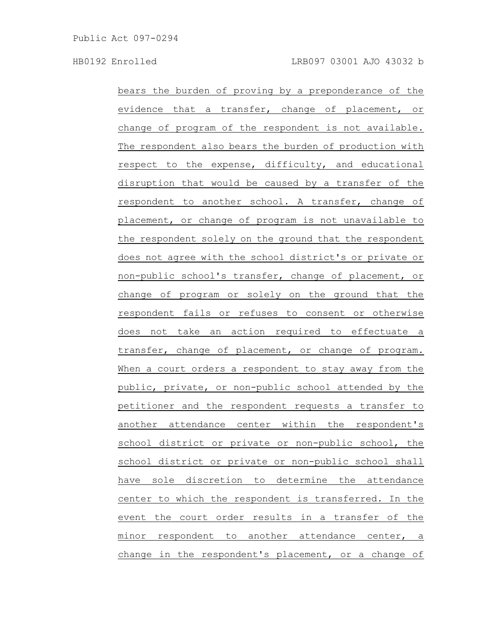bears the burden of proving by a preponderance of the evidence that a transfer, change of placement, or change of program of the respondent is not available. The respondent also bears the burden of production with respect to the expense, difficulty, and educational disruption that would be caused by a transfer of the respondent to another school. A transfer, change of placement, or change of program is not unavailable to the respondent solely on the ground that the respondent does not agree with the school district's or private or non-public school's transfer, change of placement, or change of program or solely on the ground that the respondent fails or refuses to consent or otherwise does not take an action required to effectuate a transfer, change of placement, or change of program. When a court orders a respondent to stay away from the public, private, or non-public school attended by the petitioner and the respondent requests a transfer to another attendance center within the respondent's school district or private or non-public school, the school district or private or non-public school shall have sole discretion to determine the attendance center to which the respondent is transferred. In the event the court order results in a transfer of the minor respondent to another attendance center, a change in the respondent's placement, or a change of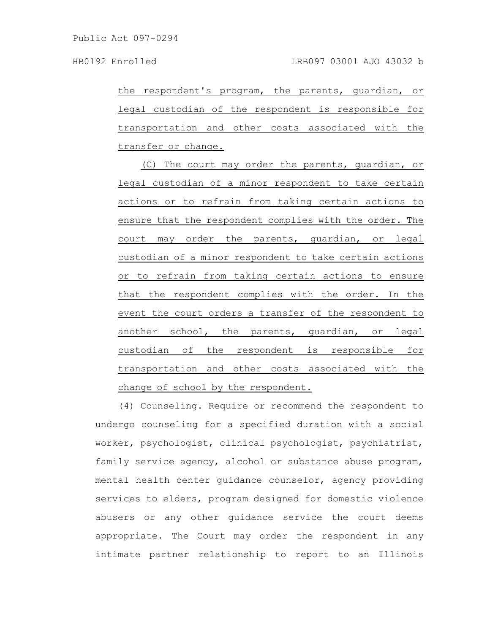the respondent's program, the parents, guardian, or legal custodian of the respondent is responsible for transportation and other costs associated with the transfer or change.

(C) The court may order the parents, guardian, or legal custodian of a minor respondent to take certain actions or to refrain from taking certain actions to ensure that the respondent complies with the order. The court may order the parents, guardian, or legal custodian of a minor respondent to take certain actions or to refrain from taking certain actions to ensure that the respondent complies with the order. In the event the court orders a transfer of the respondent to another school, the parents, guardian, or legal custodian of the respondent is responsible for transportation and other costs associated with the change of school by the respondent.

(4) Counseling. Require or recommend the respondent to undergo counseling for a specified duration with a social worker, psychologist, clinical psychologist, psychiatrist, family service agency, alcohol or substance abuse program, mental health center guidance counselor, agency providing services to elders, program designed for domestic violence abusers or any other guidance service the court deems appropriate. The Court may order the respondent in any intimate partner relationship to report to an Illinois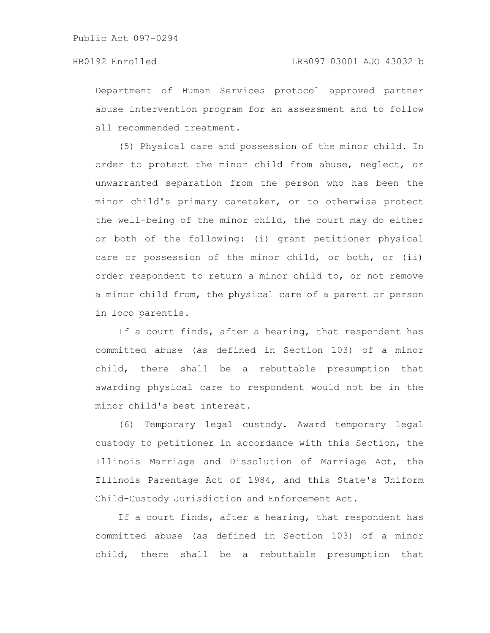Department of Human Services protocol approved partner abuse intervention program for an assessment and to follow all recommended treatment.

(5) Physical care and possession of the minor child. In order to protect the minor child from abuse, neglect, or unwarranted separation from the person who has been the minor child's primary caretaker, or to otherwise protect the well-being of the minor child, the court may do either or both of the following: (i) grant petitioner physical care or possession of the minor child, or both, or (ii) order respondent to return a minor child to, or not remove a minor child from, the physical care of a parent or person in loco parentis.

If a court finds, after a hearing, that respondent has committed abuse (as defined in Section 103) of a minor child, there shall be a rebuttable presumption that awarding physical care to respondent would not be in the minor child's best interest.

(6) Temporary legal custody. Award temporary legal custody to petitioner in accordance with this Section, the Illinois Marriage and Dissolution of Marriage Act, the Illinois Parentage Act of 1984, and this State's Uniform Child-Custody Jurisdiction and Enforcement Act.

If a court finds, after a hearing, that respondent has committed abuse (as defined in Section 103) of a minor child, there shall be a rebuttable presumption that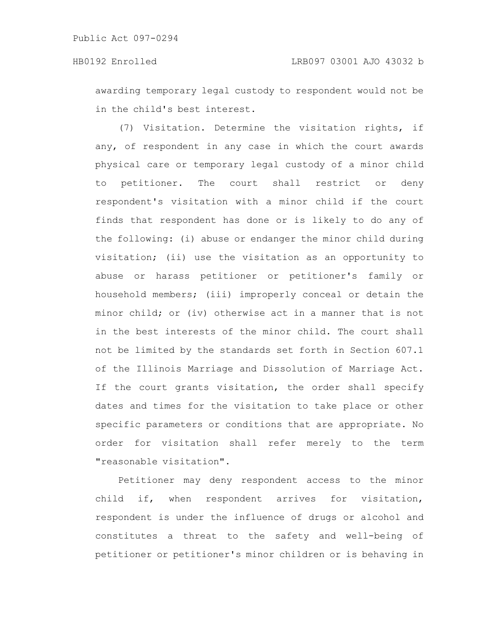awarding temporary legal custody to respondent would not be in the child's best interest.

(7) Visitation. Determine the visitation rights, if any, of respondent in any case in which the court awards physical care or temporary legal custody of a minor child to petitioner. The court shall restrict or deny respondent's visitation with a minor child if the court finds that respondent has done or is likely to do any of the following: (i) abuse or endanger the minor child during visitation; (ii) use the visitation as an opportunity to abuse or harass petitioner or petitioner's family or household members; (iii) improperly conceal or detain the minor child; or (iv) otherwise act in a manner that is not in the best interests of the minor child. The court shall not be limited by the standards set forth in Section 607.1 of the Illinois Marriage and Dissolution of Marriage Act. If the court grants visitation, the order shall specify dates and times for the visitation to take place or other specific parameters or conditions that are appropriate. No order for visitation shall refer merely to the term "reasonable visitation".

Petitioner may deny respondent access to the minor child if, when respondent arrives for visitation, respondent is under the influence of drugs or alcohol and constitutes a threat to the safety and well-being of petitioner or petitioner's minor children or is behaving in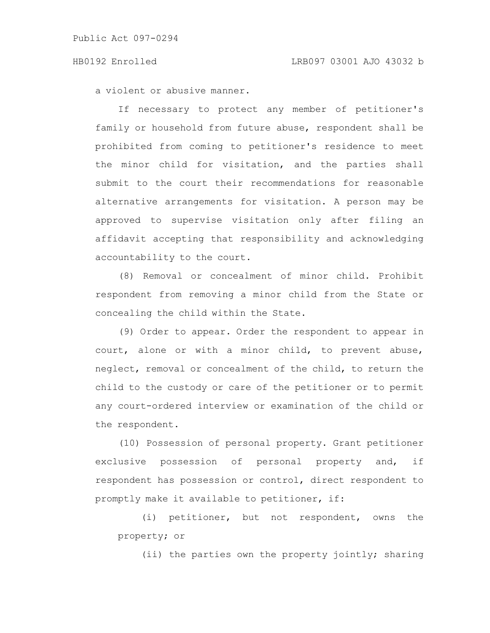a violent or abusive manner.

If necessary to protect any member of petitioner's family or household from future abuse, respondent shall be prohibited from coming to petitioner's residence to meet the minor child for visitation, and the parties shall submit to the court their recommendations for reasonable alternative arrangements for visitation. A person may be approved to supervise visitation only after filing an affidavit accepting that responsibility and acknowledging accountability to the court.

(8) Removal or concealment of minor child. Prohibit respondent from removing a minor child from the State or concealing the child within the State.

(9) Order to appear. Order the respondent to appear in court, alone or with a minor child, to prevent abuse, neglect, removal or concealment of the child, to return the child to the custody or care of the petitioner or to permit any court-ordered interview or examination of the child or the respondent.

(10) Possession of personal property. Grant petitioner exclusive possession of personal property and, if respondent has possession or control, direct respondent to promptly make it available to petitioner, if:

(i) petitioner, but not respondent, owns the property; or

(ii) the parties own the property jointly; sharing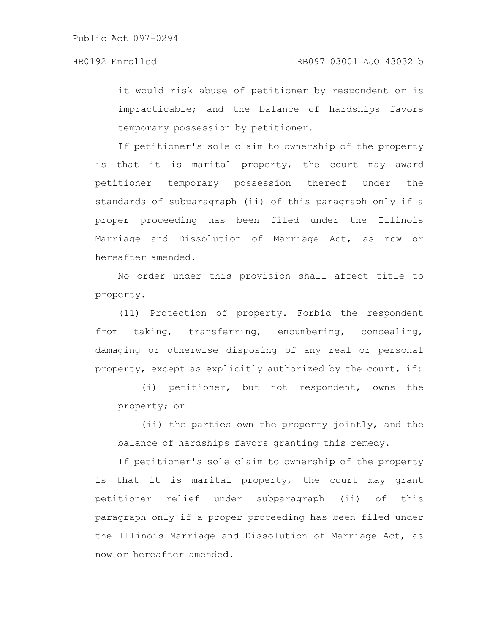it would risk abuse of petitioner by respondent or is impracticable; and the balance of hardships favors temporary possession by petitioner.

If petitioner's sole claim to ownership of the property is that it is marital property, the court may award petitioner temporary possession thereof under the standards of subparagraph (ii) of this paragraph only if a proper proceeding has been filed under the Illinois Marriage and Dissolution of Marriage Act, as now or hereafter amended.

No order under this provision shall affect title to property.

(11) Protection of property. Forbid the respondent from taking, transferring, encumbering, concealing, damaging or otherwise disposing of any real or personal property, except as explicitly authorized by the court, if:

(i) petitioner, but not respondent, owns the property; or

(ii) the parties own the property jointly, and the balance of hardships favors granting this remedy.

If petitioner's sole claim to ownership of the property is that it is marital property, the court may grant petitioner relief under subparagraph (ii) of this paragraph only if a proper proceeding has been filed under the Illinois Marriage and Dissolution of Marriage Act, as now or hereafter amended.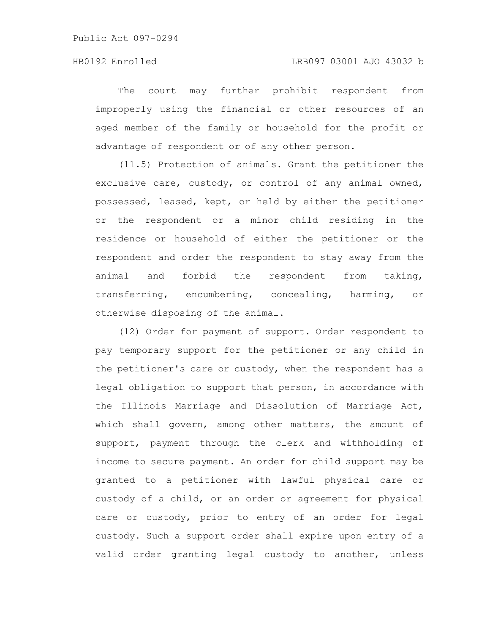The court may further prohibit respondent from improperly using the financial or other resources of an aged member of the family or household for the profit or advantage of respondent or of any other person.

(11.5) Protection of animals. Grant the petitioner the exclusive care, custody, or control of any animal owned, possessed, leased, kept, or held by either the petitioner or the respondent or a minor child residing in the residence or household of either the petitioner or the respondent and order the respondent to stay away from the animal and forbid the respondent from taking, transferring, encumbering, concealing, harming, or otherwise disposing of the animal.

(12) Order for payment of support. Order respondent to pay temporary support for the petitioner or any child in the petitioner's care or custody, when the respondent has a legal obligation to support that person, in accordance with the Illinois Marriage and Dissolution of Marriage Act, which shall govern, among other matters, the amount of support, payment through the clerk and withholding of income to secure payment. An order for child support may be granted to a petitioner with lawful physical care or custody of a child, or an order or agreement for physical care or custody, prior to entry of an order for legal custody. Such a support order shall expire upon entry of a valid order granting legal custody to another, unless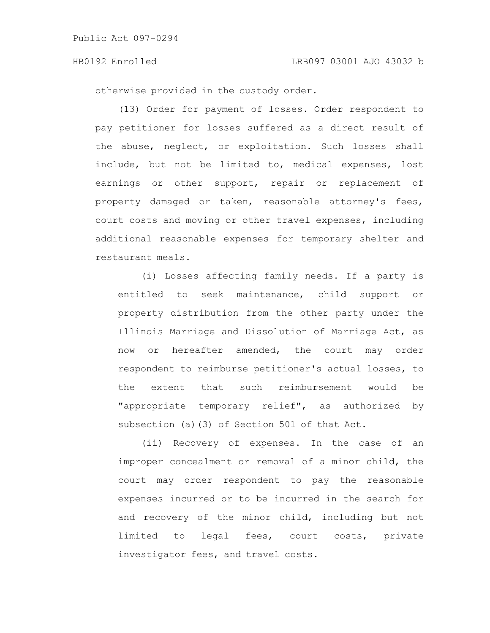otherwise provided in the custody order.

(13) Order for payment of losses. Order respondent to pay petitioner for losses suffered as a direct result of the abuse, neglect, or exploitation. Such losses shall include, but not be limited to, medical expenses, lost earnings or other support, repair or replacement of property damaged or taken, reasonable attorney's fees, court costs and moving or other travel expenses, including additional reasonable expenses for temporary shelter and restaurant meals.

(i) Losses affecting family needs. If a party is entitled to seek maintenance, child support or property distribution from the other party under the Illinois Marriage and Dissolution of Marriage Act, as now or hereafter amended, the court may order respondent to reimburse petitioner's actual losses, to the extent that such reimbursement would be "appropriate temporary relief", as authorized by subsection (a)(3) of Section 501 of that Act.

(ii) Recovery of expenses. In the case of an improper concealment or removal of a minor child, the court may order respondent to pay the reasonable expenses incurred or to be incurred in the search for and recovery of the minor child, including but not limited to legal fees, court costs, private investigator fees, and travel costs.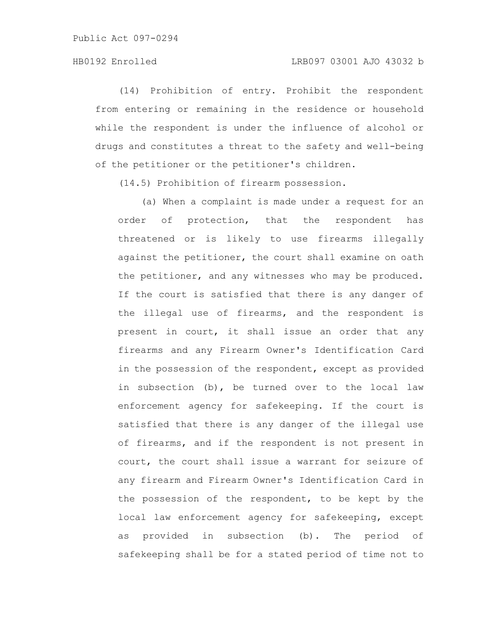### HB0192 Enrolled LRB097 03001 AJO 43032 b

(14) Prohibition of entry. Prohibit the respondent from entering or remaining in the residence or household while the respondent is under the influence of alcohol or drugs and constitutes a threat to the safety and well-being of the petitioner or the petitioner's children.

(14.5) Prohibition of firearm possession.

(a) When a complaint is made under a request for an order of protection, that the respondent has threatened or is likely to use firearms illegally against the petitioner, the court shall examine on oath the petitioner, and any witnesses who may be produced. If the court is satisfied that there is any danger of the illegal use of firearms, and the respondent is present in court, it shall issue an order that any firearms and any Firearm Owner's Identification Card in the possession of the respondent, except as provided in subsection (b), be turned over to the local law enforcement agency for safekeeping. If the court is satisfied that there is any danger of the illegal use of firearms, and if the respondent is not present in court, the court shall issue a warrant for seizure of any firearm and Firearm Owner's Identification Card in the possession of the respondent, to be kept by the local law enforcement agency for safekeeping, except as provided in subsection (b). The period of safekeeping shall be for a stated period of time not to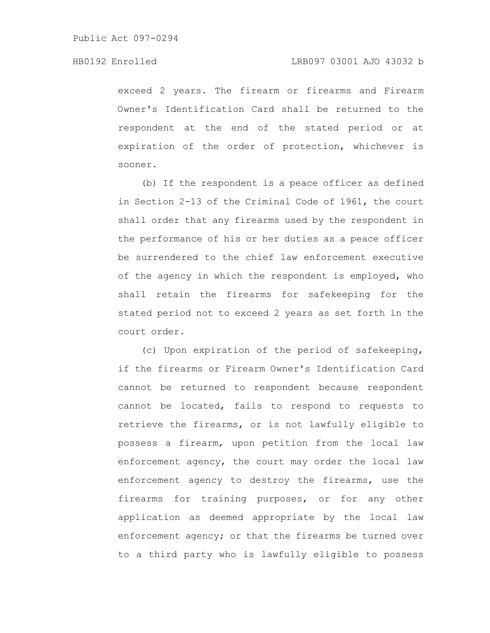exceed 2 years. The firearm or firearms and Firearm Owner's Identification Card shall be returned to the respondent at the end of the stated period or at expiration of the order of protection, whichever is sooner.

(b) If the respondent is a peace officer as defined in Section 2-13 of the Criminal Code of 1961, the court shall order that any firearms used by the respondent in the performance of his or her duties as a peace officer be surrendered to the chief law enforcement executive of the agency in which the respondent is employed, who shall retain the firearms for safekeeping for the stated period not to exceed 2 years as set forth in the court order.

(c) Upon expiration of the period of safekeeping, if the firearms or Firearm Owner's Identification Card cannot be returned to respondent because respondent cannot be located, fails to respond to requests to retrieve the firearms, or is not lawfully eligible to possess a firearm, upon petition from the local law enforcement agency, the court may order the local law enforcement agency to destroy the firearms, use the firearms for training purposes, or for any other application as deemed appropriate by the local law enforcement agency; or that the firearms be turned over to a third party who is lawfully eligible to possess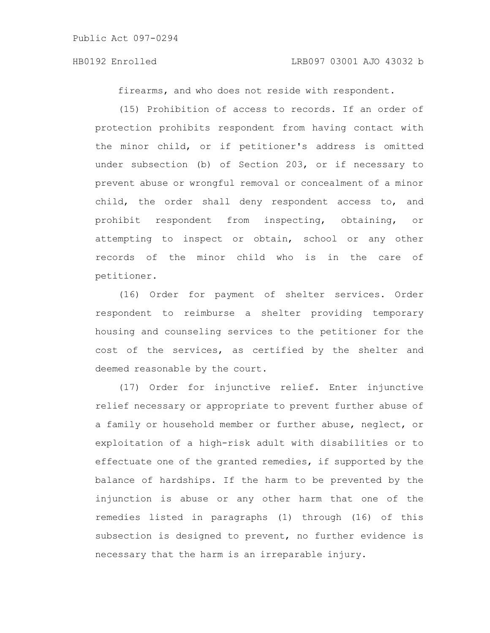firearms, and who does not reside with respondent.

(15) Prohibition of access to records. If an order of protection prohibits respondent from having contact with the minor child, or if petitioner's address is omitted under subsection (b) of Section 203, or if necessary to prevent abuse or wrongful removal or concealment of a minor child, the order shall deny respondent access to, and prohibit respondent from inspecting, obtaining, or attempting to inspect or obtain, school or any other records of the minor child who is in the care of petitioner.

(16) Order for payment of shelter services. Order respondent to reimburse a shelter providing temporary housing and counseling services to the petitioner for the cost of the services, as certified by the shelter and deemed reasonable by the court.

(17) Order for injunctive relief. Enter injunctive relief necessary or appropriate to prevent further abuse of a family or household member or further abuse, neglect, or exploitation of a high-risk adult with disabilities or to effectuate one of the granted remedies, if supported by the balance of hardships. If the harm to be prevented by the injunction is abuse or any other harm that one of the remedies listed in paragraphs (1) through (16) of this subsection is designed to prevent, no further evidence is necessary that the harm is an irreparable injury.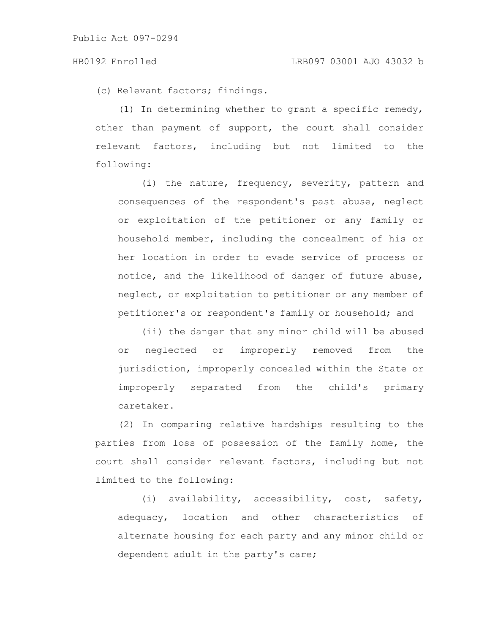(c) Relevant factors; findings.

(1) In determining whether to grant a specific remedy, other than payment of support, the court shall consider relevant factors, including but not limited to the following:

(i) the nature, frequency, severity, pattern and consequences of the respondent's past abuse, neglect or exploitation of the petitioner or any family or household member, including the concealment of his or her location in order to evade service of process or notice, and the likelihood of danger of future abuse, neglect, or exploitation to petitioner or any member of petitioner's or respondent's family or household; and

(ii) the danger that any minor child will be abused or neglected or improperly removed from the jurisdiction, improperly concealed within the State or improperly separated from the child's primary caretaker.

(2) In comparing relative hardships resulting to the parties from loss of possession of the family home, the court shall consider relevant factors, including but not limited to the following:

(i) availability, accessibility, cost, safety, adequacy, location and other characteristics of alternate housing for each party and any minor child or dependent adult in the party's care;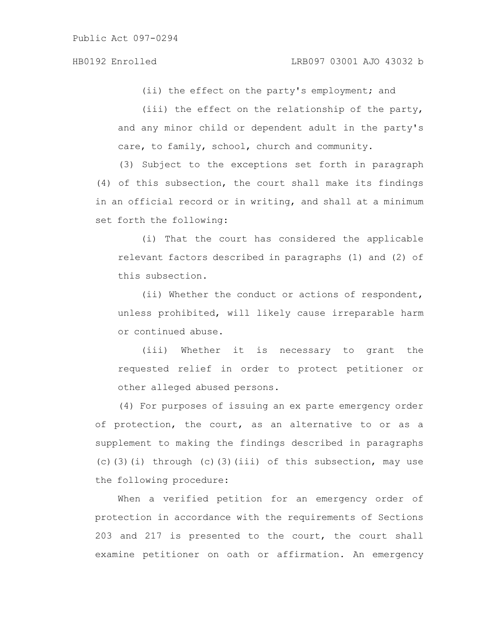(ii) the effect on the party's employment; and

(iii) the effect on the relationship of the party, and any minor child or dependent adult in the party's care, to family, school, church and community.

(3) Subject to the exceptions set forth in paragraph (4) of this subsection, the court shall make its findings in an official record or in writing, and shall at a minimum set forth the following:

(i) That the court has considered the applicable relevant factors described in paragraphs (1) and (2) of this subsection.

(ii) Whether the conduct or actions of respondent, unless prohibited, will likely cause irreparable harm or continued abuse.

(iii) Whether it is necessary to grant the requested relief in order to protect petitioner or other alleged abused persons.

(4) For purposes of issuing an ex parte emergency order of protection, the court, as an alternative to or as a supplement to making the findings described in paragraphs (c)(3)(i) through (c)(3)(iii) of this subsection, may use the following procedure:

When a verified petition for an emergency order of protection in accordance with the requirements of Sections 203 and 217 is presented to the court, the court shall examine petitioner on oath or affirmation. An emergency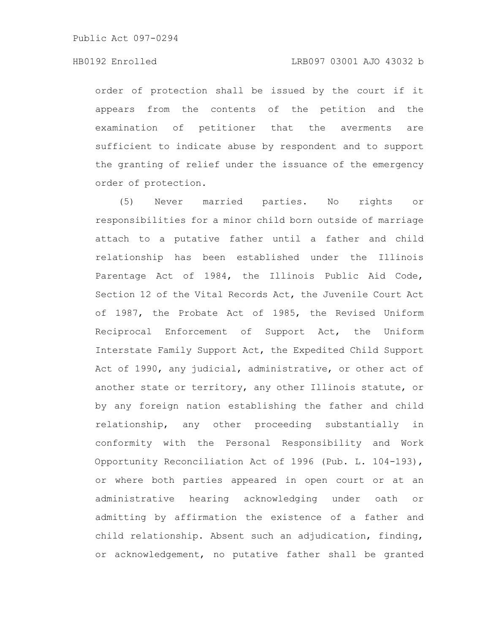# HB0192 Enrolled LRB097 03001 AJO 43032 b

order of protection shall be issued by the court if it appears from the contents of the petition and the examination of petitioner that the averments are sufficient to indicate abuse by respondent and to support the granting of relief under the issuance of the emergency order of protection.

(5) Never married parties. No rights or responsibilities for a minor child born outside of marriage attach to a putative father until a father and child relationship has been established under the Illinois Parentage Act of 1984, the Illinois Public Aid Code, Section 12 of the Vital Records Act, the Juvenile Court Act of 1987, the Probate Act of 1985, the Revised Uniform Reciprocal Enforcement of Support Act, the Uniform Interstate Family Support Act, the Expedited Child Support Act of 1990, any judicial, administrative, or other act of another state or territory, any other Illinois statute, or by any foreign nation establishing the father and child relationship, any other proceeding substantially in conformity with the Personal Responsibility and Work Opportunity Reconciliation Act of 1996 (Pub. L. 104-193), or where both parties appeared in open court or at an administrative hearing acknowledging under oath or admitting by affirmation the existence of a father and child relationship. Absent such an adjudication, finding, or acknowledgement, no putative father shall be granted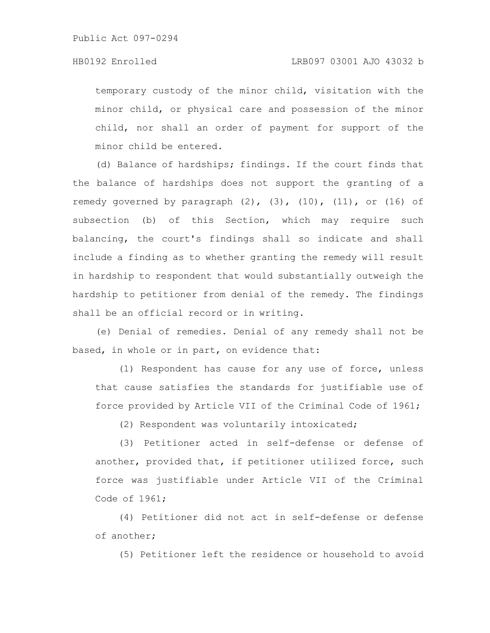# HB0192 Enrolled LRB097 03001 AJO 43032 b

temporary custody of the minor child, visitation with the minor child, or physical care and possession of the minor child, nor shall an order of payment for support of the minor child be entered.

(d) Balance of hardships; findings. If the court finds that the balance of hardships does not support the granting of a remedy governed by paragraph  $(2)$ ,  $(3)$ ,  $(10)$ ,  $(11)$ , or  $(16)$  of subsection (b) of this Section, which may require such balancing, the court's findings shall so indicate and shall include a finding as to whether granting the remedy will result in hardship to respondent that would substantially outweigh the hardship to petitioner from denial of the remedy. The findings shall be an official record or in writing.

(e) Denial of remedies. Denial of any remedy shall not be based, in whole or in part, on evidence that:

(1) Respondent has cause for any use of force, unless that cause satisfies the standards for justifiable use of force provided by Article VII of the Criminal Code of 1961;

(2) Respondent was voluntarily intoxicated;

(3) Petitioner acted in self-defense or defense of another, provided that, if petitioner utilized force, such force was justifiable under Article VII of the Criminal Code of 1961;

(4) Petitioner did not act in self-defense or defense of another;

(5) Petitioner left the residence or household to avoid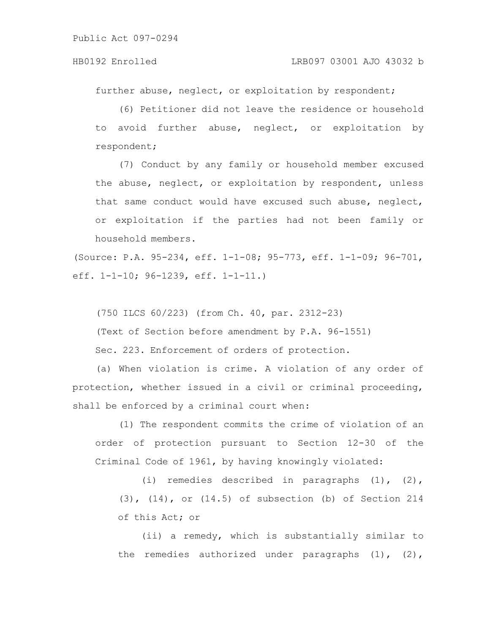further abuse, neglect, or exploitation by respondent;

(6) Petitioner did not leave the residence or household to avoid further abuse, neglect, or exploitation by respondent;

(7) Conduct by any family or household member excused the abuse, neglect, or exploitation by respondent, unless that same conduct would have excused such abuse, neglect, or exploitation if the parties had not been family or household members.

(Source: P.A. 95-234, eff. 1-1-08; 95-773, eff. 1-1-09; 96-701, eff. 1-1-10; 96-1239, eff. 1-1-11.)

(750 ILCS 60/223) (from Ch. 40, par. 2312-23)

(Text of Section before amendment by P.A. 96-1551)

Sec. 223. Enforcement of orders of protection.

(a) When violation is crime. A violation of any order of protection, whether issued in a civil or criminal proceeding, shall be enforced by a criminal court when:

(1) The respondent commits the crime of violation of an order of protection pursuant to Section 12-30 of the Criminal Code of 1961, by having knowingly violated:

(i) remedies described in paragraphs (1), (2), (3), (14), or (14.5) of subsection (b) of Section 214 of this Act; or

(ii) a remedy, which is substantially similar to the remedies authorized under paragraphs (1), (2),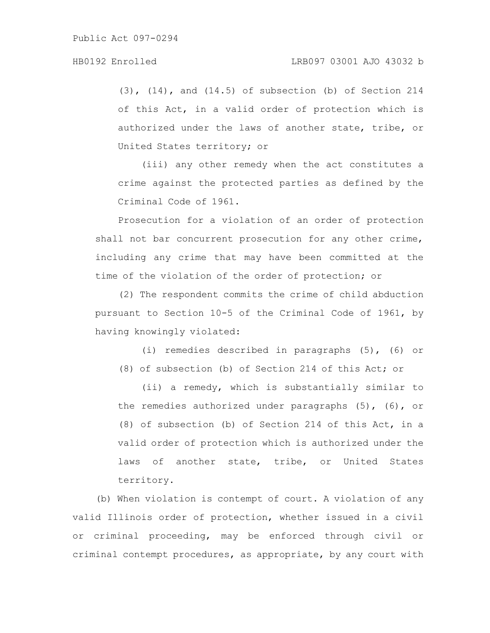(3), (14), and (14.5) of subsection (b) of Section 214 of this Act, in a valid order of protection which is authorized under the laws of another state, tribe, or United States territory; or

(iii) any other remedy when the act constitutes a crime against the protected parties as defined by the Criminal Code of 1961.

Prosecution for a violation of an order of protection shall not bar concurrent prosecution for any other crime, including any crime that may have been committed at the time of the violation of the order of protection; or

(2) The respondent commits the crime of child abduction pursuant to Section 10-5 of the Criminal Code of 1961, by having knowingly violated:

(i) remedies described in paragraphs (5), (6) or (8) of subsection (b) of Section 214 of this Act; or

(ii) a remedy, which is substantially similar to the remedies authorized under paragraphs (5), (6), or (8) of subsection (b) of Section 214 of this Act, in a valid order of protection which is authorized under the laws of another state, tribe, or United States territory.

(b) When violation is contempt of court. A violation of any valid Illinois order of protection, whether issued in a civil or criminal proceeding, may be enforced through civil or criminal contempt procedures, as appropriate, by any court with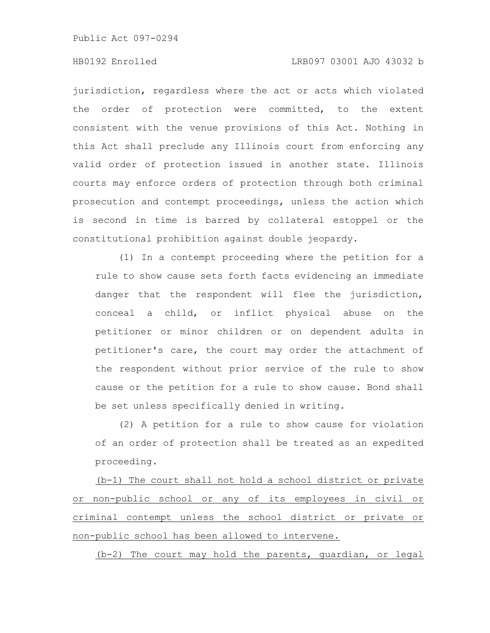# HB0192 Enrolled LRB097 03001 AJO 43032 b

jurisdiction, regardless where the act or acts which violated the order of protection were committed, to the extent consistent with the venue provisions of this Act. Nothing in this Act shall preclude any Illinois court from enforcing any valid order of protection issued in another state. Illinois courts may enforce orders of protection through both criminal prosecution and contempt proceedings, unless the action which is second in time is barred by collateral estoppel or the constitutional prohibition against double jeopardy.

(1) In a contempt proceeding where the petition for a rule to show cause sets forth facts evidencing an immediate danger that the respondent will flee the jurisdiction, conceal a child, or inflict physical abuse on the petitioner or minor children or on dependent adults in petitioner's care, the court may order the attachment of the respondent without prior service of the rule to show cause or the petition for a rule to show cause. Bond shall be set unless specifically denied in writing.

(2) A petition for a rule to show cause for violation of an order of protection shall be treated as an expedited proceeding.

(b-1) The court shall not hold a school district or private or non-public school or any of its employees in civil or criminal contempt unless the school district or private or non-public school has been allowed to intervene.

(b-2) The court may hold the parents, guardian, or legal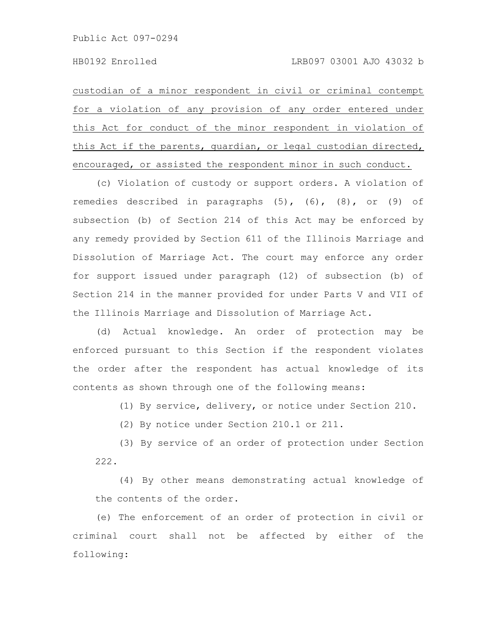custodian of a minor respondent in civil or criminal contempt for a violation of any provision of any order entered under this Act for conduct of the minor respondent in violation of this Act if the parents, guardian, or legal custodian directed, encouraged, or assisted the respondent minor in such conduct.

(c) Violation of custody or support orders. A violation of remedies described in paragraphs  $(5)$ ,  $(6)$ ,  $(8)$ , or  $(9)$  of subsection (b) of Section 214 of this Act may be enforced by any remedy provided by Section 611 of the Illinois Marriage and Dissolution of Marriage Act. The court may enforce any order for support issued under paragraph (12) of subsection (b) of Section 214 in the manner provided for under Parts V and VII of the Illinois Marriage and Dissolution of Marriage Act.

(d) Actual knowledge. An order of protection may be enforced pursuant to this Section if the respondent violates the order after the respondent has actual knowledge of its contents as shown through one of the following means:

(1) By service, delivery, or notice under Section 210.

(2) By notice under Section 210.1 or 211.

(3) By service of an order of protection under Section 222.

(4) By other means demonstrating actual knowledge of the contents of the order.

(e) The enforcement of an order of protection in civil or criminal court shall not be affected by either of the following: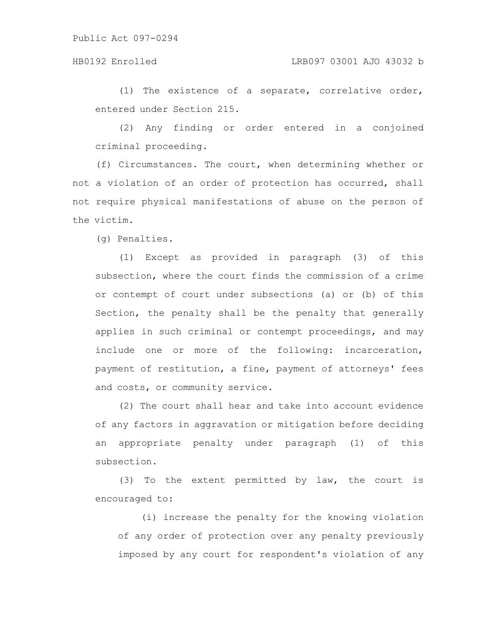# HB0192 Enrolled LRB097 03001 AJO 43032 b

(1) The existence of a separate, correlative order, entered under Section 215.

(2) Any finding or order entered in a conjoined criminal proceeding.

(f) Circumstances. The court, when determining whether or not a violation of an order of protection has occurred, shall not require physical manifestations of abuse on the person of the victim.

(g) Penalties.

(1) Except as provided in paragraph (3) of this subsection, where the court finds the commission of a crime or contempt of court under subsections (a) or (b) of this Section, the penalty shall be the penalty that generally applies in such criminal or contempt proceedings, and may include one or more of the following: incarceration, payment of restitution, a fine, payment of attorneys' fees and costs, or community service.

(2) The court shall hear and take into account evidence of any factors in aggravation or mitigation before deciding an appropriate penalty under paragraph (1) of this subsection.

(3) To the extent permitted by law, the court is encouraged to:

(i) increase the penalty for the knowing violation of any order of protection over any penalty previously imposed by any court for respondent's violation of any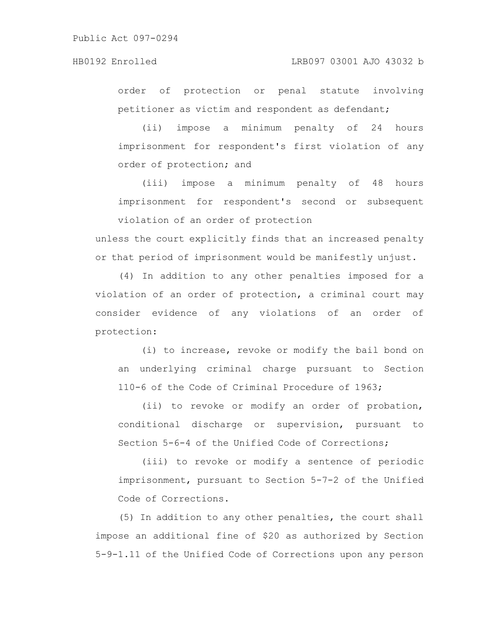order of protection or penal statute involving petitioner as victim and respondent as defendant;

(ii) impose a minimum penalty of 24 hours imprisonment for respondent's first violation of any order of protection; and

(iii) impose a minimum penalty of 48 hours imprisonment for respondent's second or subsequent violation of an order of protection

unless the court explicitly finds that an increased penalty or that period of imprisonment would be manifestly unjust.

(4) In addition to any other penalties imposed for a violation of an order of protection, a criminal court may consider evidence of any violations of an order of protection:

(i) to increase, revoke or modify the bail bond on an underlying criminal charge pursuant to Section 110-6 of the Code of Criminal Procedure of 1963;

(ii) to revoke or modify an order of probation, conditional discharge or supervision, pursuant to Section 5-6-4 of the Unified Code of Corrections;

(iii) to revoke or modify a sentence of periodic imprisonment, pursuant to Section 5-7-2 of the Unified Code of Corrections.

(5) In addition to any other penalties, the court shall impose an additional fine of \$20 as authorized by Section 5-9-1.11 of the Unified Code of Corrections upon any person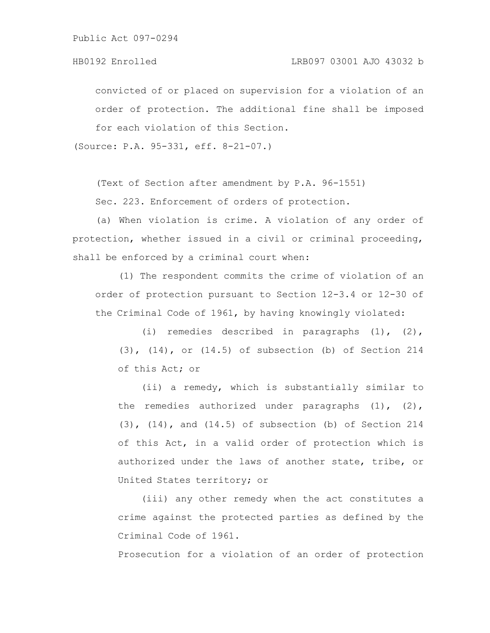convicted of or placed on supervision for a violation of an order of protection. The additional fine shall be imposed for each violation of this Section.

(Source: P.A. 95-331, eff. 8-21-07.)

(Text of Section after amendment by P.A. 96-1551)

Sec. 223. Enforcement of orders of protection.

(a) When violation is crime. A violation of any order of protection, whether issued in a civil or criminal proceeding, shall be enforced by a criminal court when:

(1) The respondent commits the crime of violation of an order of protection pursuant to Section 12-3.4 or 12-30 of the Criminal Code of 1961, by having knowingly violated:

(i) remedies described in paragraphs (1), (2), (3), (14), or (14.5) of subsection (b) of Section 214 of this Act; or

(ii) a remedy, which is substantially similar to the remedies authorized under paragraphs  $(1)$ ,  $(2)$ ,  $(3)$ ,  $(14)$ , and  $(14.5)$  of subsection (b) of Section 214 of this Act, in a valid order of protection which is authorized under the laws of another state, tribe, or United States territory; or

(iii) any other remedy when the act constitutes a crime against the protected parties as defined by the Criminal Code of 1961.

Prosecution for a violation of an order of protection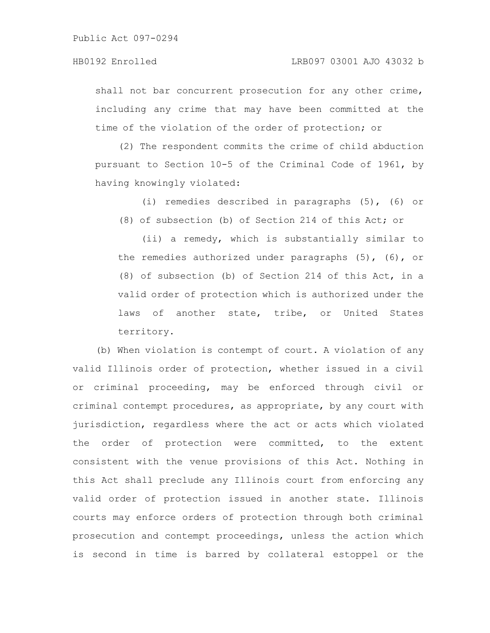shall not bar concurrent prosecution for any other crime, including any crime that may have been committed at the time of the violation of the order of protection; or

(2) The respondent commits the crime of child abduction pursuant to Section 10-5 of the Criminal Code of 1961, by having knowingly violated:

(i) remedies described in paragraphs (5), (6) or

(8) of subsection (b) of Section 214 of this Act; or

(ii) a remedy, which is substantially similar to the remedies authorized under paragraphs (5), (6), or (8) of subsection (b) of Section 214 of this Act, in a valid order of protection which is authorized under the laws of another state, tribe, or United States territory.

(b) When violation is contempt of court. A violation of any valid Illinois order of protection, whether issued in a civil or criminal proceeding, may be enforced through civil or criminal contempt procedures, as appropriate, by any court with jurisdiction, regardless where the act or acts which violated the order of protection were committed, to the extent consistent with the venue provisions of this Act. Nothing in this Act shall preclude any Illinois court from enforcing any valid order of protection issued in another state. Illinois courts may enforce orders of protection through both criminal prosecution and contempt proceedings, unless the action which is second in time is barred by collateral estoppel or the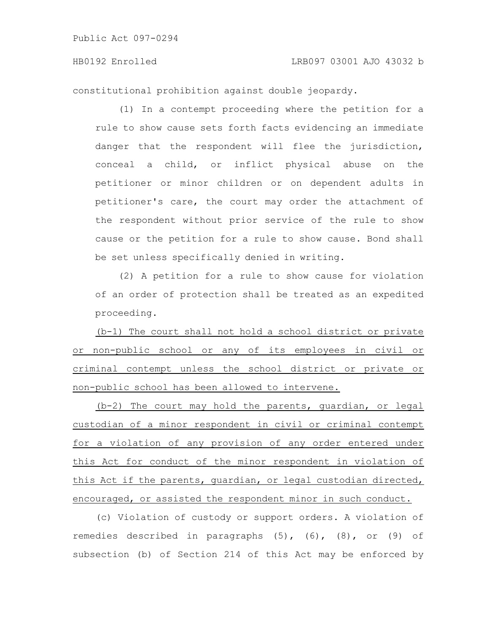constitutional prohibition against double jeopardy.

(1) In a contempt proceeding where the petition for a rule to show cause sets forth facts evidencing an immediate danger that the respondent will flee the jurisdiction, conceal a child, or inflict physical abuse on the petitioner or minor children or on dependent adults in petitioner's care, the court may order the attachment of the respondent without prior service of the rule to show cause or the petition for a rule to show cause. Bond shall be set unless specifically denied in writing.

(2) A petition for a rule to show cause for violation of an order of protection shall be treated as an expedited proceeding.

(b-1) The court shall not hold a school district or private or non-public school or any of its employees in civil or criminal contempt unless the school district or private or non-public school has been allowed to intervene.

(b-2) The court may hold the parents, guardian, or legal custodian of a minor respondent in civil or criminal contempt for a violation of any provision of any order entered under this Act for conduct of the minor respondent in violation of this Act if the parents, guardian, or legal custodian directed, encouraged, or assisted the respondent minor in such conduct.

(c) Violation of custody or support orders. A violation of remedies described in paragraphs (5), (6), (8), or (9) of subsection (b) of Section 214 of this Act may be enforced by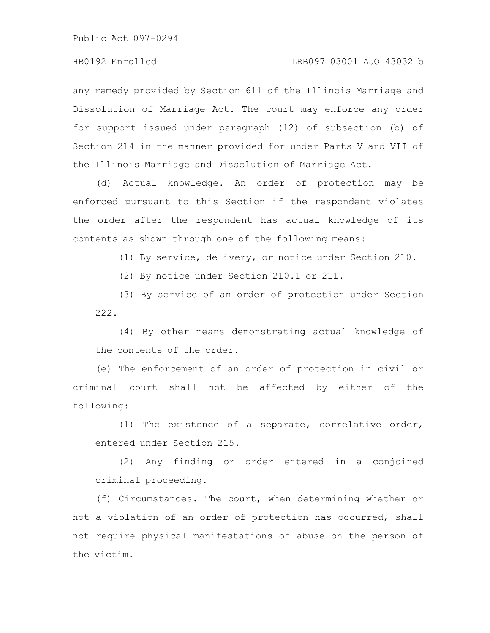any remedy provided by Section 611 of the Illinois Marriage and Dissolution of Marriage Act. The court may enforce any order for support issued under paragraph (12) of subsection (b) of Section 214 in the manner provided for under Parts V and VII of the Illinois Marriage and Dissolution of Marriage Act.

(d) Actual knowledge. An order of protection may be enforced pursuant to this Section if the respondent violates the order after the respondent has actual knowledge of its contents as shown through one of the following means:

(1) By service, delivery, or notice under Section 210.

(2) By notice under Section 210.1 or 211.

(3) By service of an order of protection under Section 222.

(4) By other means demonstrating actual knowledge of the contents of the order.

(e) The enforcement of an order of protection in civil or criminal court shall not be affected by either of the following:

(1) The existence of a separate, correlative order, entered under Section 215.

(2) Any finding or order entered in a conjoined criminal proceeding.

(f) Circumstances. The court, when determining whether or not a violation of an order of protection has occurred, shall not require physical manifestations of abuse on the person of the victim.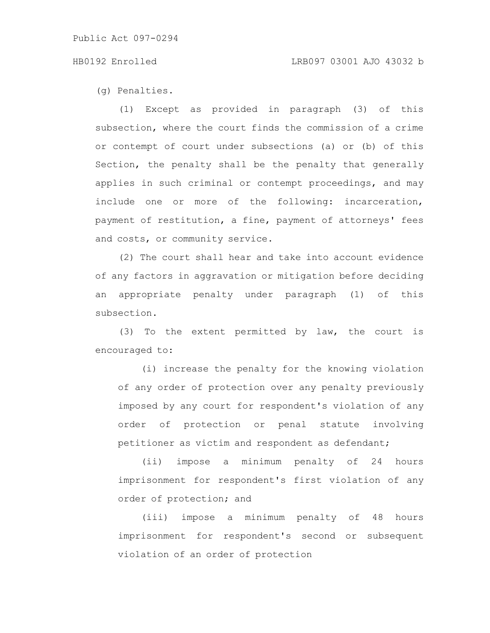### HB0192 Enrolled LRB097 03001 AJO 43032 b

(g) Penalties.

(1) Except as provided in paragraph (3) of this subsection, where the court finds the commission of a crime or contempt of court under subsections (a) or (b) of this Section, the penalty shall be the penalty that generally applies in such criminal or contempt proceedings, and may include one or more of the following: incarceration, payment of restitution, a fine, payment of attorneys' fees and costs, or community service.

(2) The court shall hear and take into account evidence of any factors in aggravation or mitigation before deciding an appropriate penalty under paragraph (1) of this subsection.

(3) To the extent permitted by law, the court is encouraged to:

(i) increase the penalty for the knowing violation of any order of protection over any penalty previously imposed by any court for respondent's violation of any order of protection or penal statute involving petitioner as victim and respondent as defendant;

(ii) impose a minimum penalty of 24 hours imprisonment for respondent's first violation of any order of protection; and

(iii) impose a minimum penalty of 48 hours imprisonment for respondent's second or subsequent violation of an order of protection